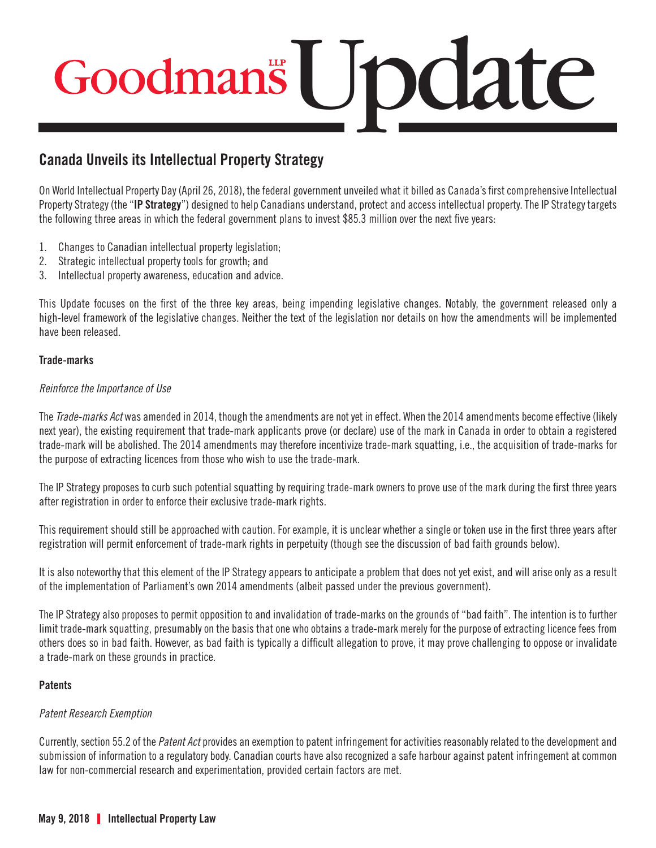# Update

### **Canada Unveils its Intellectual Property Strategy**

On World Intellectual Property Day (April 26, 2018), the federal government unveiled what it billed as Canada's first comprehensive Intellectual Property Strategy (the "**IP Strategy**") designed to help Canadians understand, protect and access intellectual property. The IP Strategy targets the following three areas in which the federal government plans to invest \$85.3 million over the next five years:

- 1. Changes to Canadian intellectual property legislation;
- 2. Strategic intellectual property tools for growth; and
- 3. Intellectual property awareness, education and advice.

This Update focuses on the first of the three key areas, being impending legislative changes. Notably, the government released only a high-level framework of the legislative changes. Neither the text of the legislation nor details on how the amendments will be implemented have been released.

#### **Trade-marks**

#### *Reinforce the Importance of Use*

The *Trade-marks Act* was amended in 2014, though the amendments are not yet in effect. When the 2014 amendments become effective (likely next year), the existing requirement that trade-mark applicants prove (or declare) use of the mark in Canada in order to obtain a registered trade-mark will be abolished. The 2014 amendments may therefore incentivize trade-mark squatting, i.e., the acquisition of trade-marks for the purpose of extracting licences from those who wish to use the trade-mark.

The IP Strategy proposes to curb such potential squatting by requiring trade-mark owners to prove use of the mark during the first three years after registration in order to enforce their exclusive trade-mark rights.

This requirement should still be approached with caution. For example, it is unclear whether a single or token use in the first three years after registration will permit enforcement of trade-mark rights in perpetuity (though see the discussion of bad faith grounds below).

It is also noteworthy that this element of the IP Strategy appears to anticipate a problem that does not yet exist, and will arise only as a result of the implementation of Parliament's own 2014 amendments (albeit passed under the previous government).

The IP Strategy also proposes to permit opposition to and invalidation of trade-marks on the grounds of "bad faith". The intention is to further limit trade-mark squatting, presumably on the basis that one who obtains a trade-mark merely for the purpose of extracting licence fees from others does so in bad faith. However, as bad faith is typically a difficult allegation to prove, it may prove challenging to oppose or invalidate a trade-mark on these grounds in practice.

#### **Patents**

#### *Patent Research Exemption*

Currently, section 55.2 of the *Patent Act* provides an exemption to patent infringement for activities reasonably related to the development and submission of information to a regulatory body. Canadian courts have also recognized a safe harbour against patent infringement at common law for non-commercial research and experimentation, provided certain factors are met.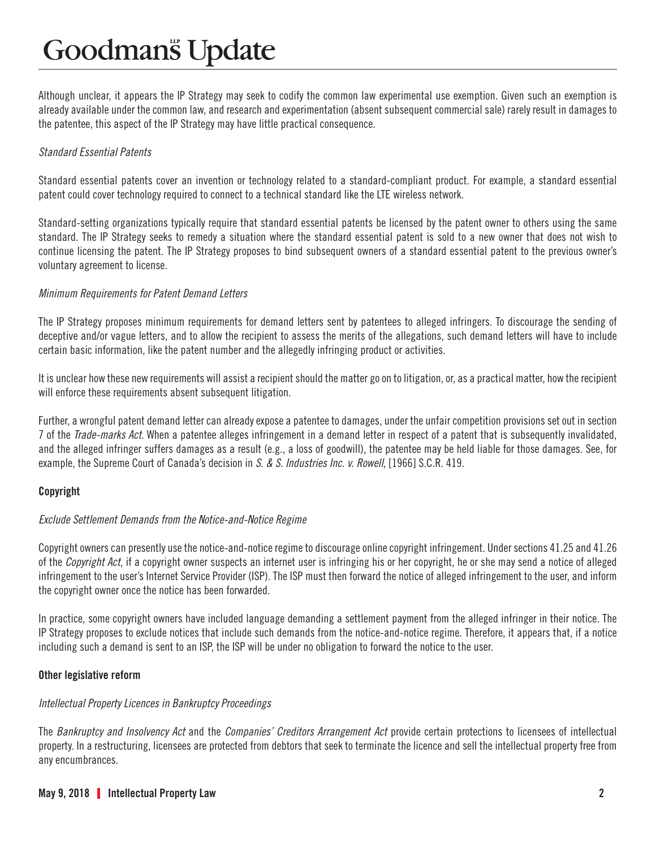Although unclear, it appears the IP Strategy may seek to codify the common law experimental use exemption. Given such an exemption is already available under the common law, and research and experimentation (absent subsequent commercial sale) rarely result in damages to the patentee, this aspect of the IP Strategy may have little practical consequence.

#### *Standard Essential Patents*

Standard essential patents cover an invention or technology related to a standard-compliant product. For example, a standard essential patent could cover technology required to connect to a technical standard like the LTE wireless network.

Standard-setting organizations typically require that standard essential patents be licensed by the patent owner to others using the same standard. The IP Strategy seeks to remedy a situation where the standard essential patent is sold to a new owner that does not wish to continue licensing the patent. The IP Strategy proposes to bind subsequent owners of a standard essential patent to the previous owner's voluntary agreement to license.

#### *Minimum Requirements for Patent Demand Letters*

The IP Strategy proposes minimum requirements for demand letters sent by patentees to alleged infringers. To discourage the sending of deceptive and/or vague letters, and to allow the recipient to assess the merits of the allegations, such demand letters will have to include certain basic information, like the patent number and the allegedly infringing product or activities.

It is unclear how these new requirements will assist a recipient should the matter go on to litigation, or, as a practical matter, how the recipient will enforce these requirements absent subsequent litigation.

Further, a wrongful patent demand letter can already expose a patentee to damages, under the unfair competition provisions set out in section 7 of the *Trade-marks Act*. When a patentee alleges infringement in a demand letter in respect of a patent that is subsequently invalidated, and the alleged infringer suffers damages as a result (e.g., a loss of goodwill), the patentee may be held liable for those damages. See, for example, the Supreme Court of Canada's decision in *S. & S. Industries Inc. v. Rowell*, [1966] S.C.R. 419.

#### **Copyright**

#### *Exclude Settlement Demands from the Notice-and-Notice Regime*

Copyright owners can presently use the notice-and-notice regime to discourage online copyright infringement. Under sections 41.25 and 41.26 of the *Copyright Act*, if a copyright owner suspects an internet user is infringing his or her copyright, he or she may send a notice of alleged infringement to the user's Internet Service Provider (ISP). The ISP must then forward the notice of alleged infringement to the user, and inform the copyright owner once the notice has been forwarded.

In practice, some copyright owners have included language demanding a settlement payment from the alleged infringer in their notice. The IP Strategy proposes to exclude notices that include such demands from the notice-and-notice regime. Therefore, it appears that, if a notice including such a demand is sent to an ISP, the ISP will be under no obligation to forward the notice to the user.

#### **Other legislative reform**

#### *Intellectual Property Licences in Bankruptcy Proceedings*

The *Bankruptcy and Insolvency Act* and the *Companies' Creditors Arrangement Act* provide certain protections to licensees of intellectual property. In a restructuring, licensees are protected from debtors that seek to terminate the licence and sell the intellectual property free from any encumbrances.